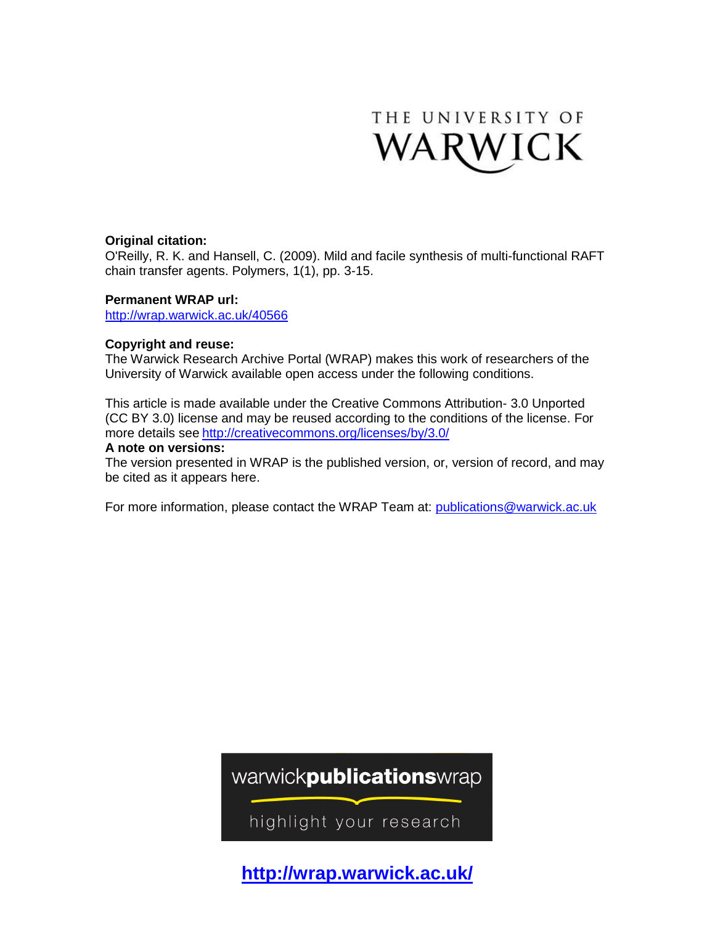

#### **Original citation:**

O'Reilly, R. K. and Hansell, C. (2009). Mild and facile synthesis of multi-functional RAFT chain transfer agents. Polymers, 1(1), pp. 3-15.

#### **Permanent WRAP url:**

<http://wrap.warwick.ac.uk/40566>

#### **Copyright and reuse:**

The Warwick Research Archive Portal (WRAP) makes this work of researchers of the University of Warwick available open access under the following conditions.

This article is made available under the Creative Commons Attribution- 3.0 Unported (CC BY 3.0) license and may be reused according to the conditions of the license. For more details see <http://creativecommons.org/licenses/by/3.0/>

#### **A note on versions:**

The version presented in WRAP is the published version, or, version of record, and may be cited as it appears here.

For more information, please contact the WRAP Team at: [publications@warwick.ac.uk](mailto:publications@warwick.ac.uk)

## warwickpublicationswrap

highlight your research

**[http://wrap.warwick.ac.uk/](http://go.warwick.ac.uk/)**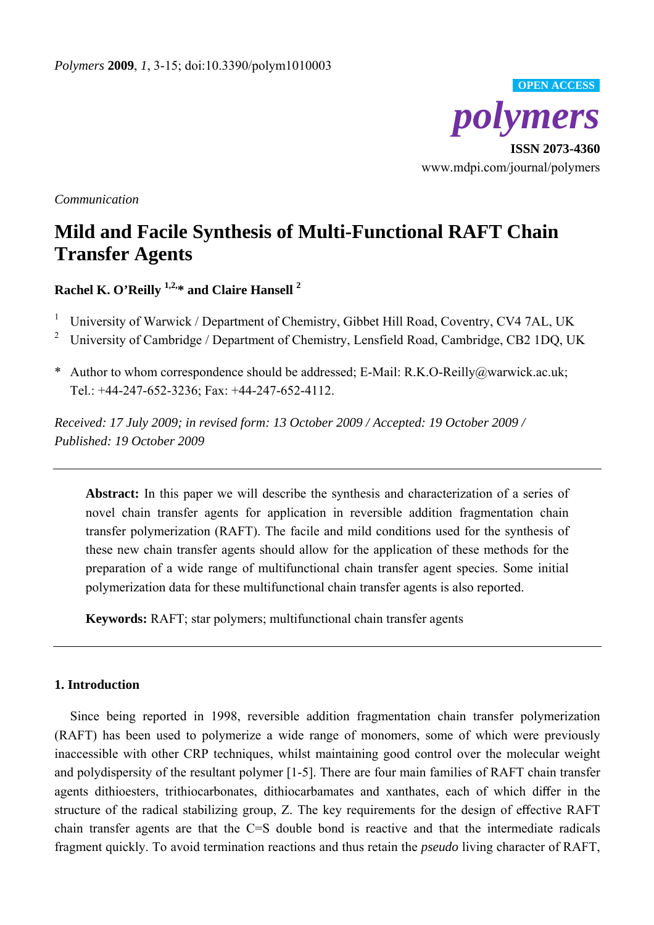

*Communication* 

# **Mild and Facile Synthesis of Multi-Functional RAFT Chain Transfer Agents**

**Rachel K. O'Reilly 1,2,\* and Claire Hansell 2** 

- 1 University of Warwick / Department of Chemistry, Gibbet Hill Road, Coventry, CV4 7AL, UK
- 2 University of Cambridge / Department of Chemistry, Lensfield Road, Cambridge, CB2 1DQ, UK
- \* Author to whom correspondence should be addressed; E-Mail: R.K.O-Reilly@warwick.ac.uk; Tel.: +44-247-652-3236; Fax: +44-247-652-4112.

*Received: 17 July 2009; in revised form: 13 October 2009 / Accepted: 19 October 2009 / Published: 19 October 2009* 

**Abstract:** In this paper we will describe the synthesis and characterization of a series of novel chain transfer agents for application in reversible addition fragmentation chain transfer polymerization (RAFT). The facile and mild conditions used for the synthesis of these new chain transfer agents should allow for the application of these methods for the preparation of a wide range of multifunctional chain transfer agent species. Some initial polymerization data for these multifunctional chain transfer agents is also reported.

**Keywords:** RAFT; star polymers; multifunctional chain transfer agents

### **1. Introduction**

Since being reported in 1998, reversible addition fragmentation chain transfer polymerization (RAFT) has been used to polymerize a wide range of monomers, some of which were previously inaccessible with other CRP techniques, whilst maintaining good control over the molecular weight and polydispersity of the resultant polymer [1-5]. There are four main families of RAFT chain transfer agents dithioesters, trithiocarbonates, dithiocarbamates and xanthates, each of which differ in the structure of the radical stabilizing group, Z. The key requirements for the design of effective RAFT chain transfer agents are that the C=S double bond is reactive and that the intermediate radicals fragment quickly. To avoid termination reactions and thus retain the *pseudo* living character of RAFT,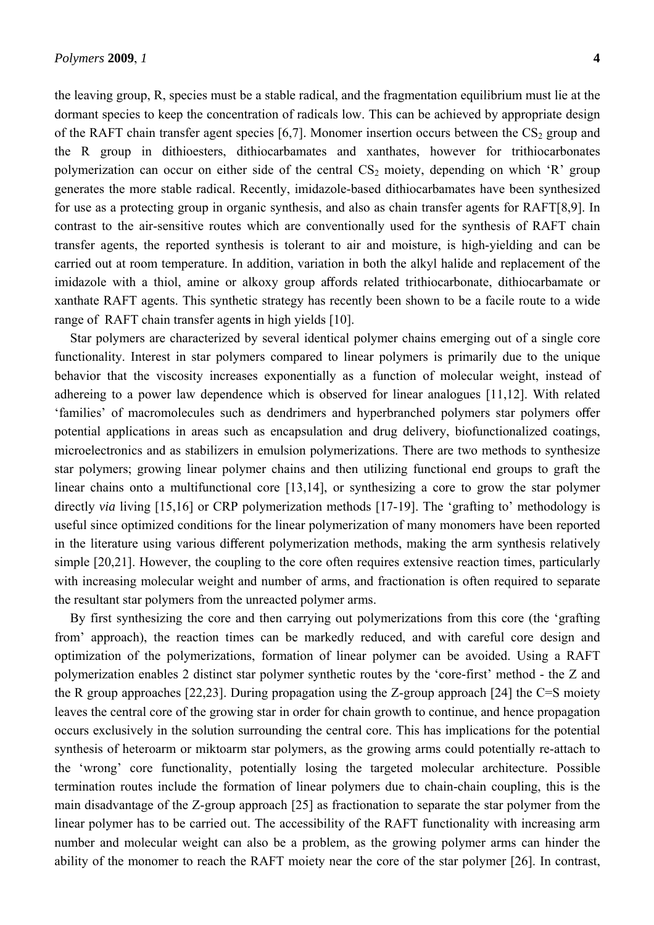the leaving group, R, species must be a stable radical, and the fragmentation equilibrium must lie at the dormant species to keep the concentration of radicals low. This can be achieved by appropriate design of the RAFT chain transfer agent species [6,7]. Monomer insertion occurs between the  $CS_2$  group and the R group in dithioesters, dithiocarbamates and xanthates, however for trithiocarbonates polymerization can occur on either side of the central  $CS_2$  moiety, depending on which 'R' group generates the more stable radical. Recently, imidazole-based dithiocarbamates have been synthesized for use as a protecting group in organic synthesis, and also as chain transfer agents for RAFT[8,9]. In contrast to the air-sensitive routes which are conventionally used for the synthesis of RAFT chain transfer agents, the reported synthesis is tolerant to air and moisture, is high-yielding and can be carried out at room temperature. In addition, variation in both the alkyl halide and replacement of the imidazole with a thiol, amine or alkoxy group affords related trithiocarbonate, dithiocarbamate or xanthate RAFT agents. This synthetic strategy has recently been shown to be a facile route to a wide range of RAFT chain transfer agent**s** in high yields [10].

Star polymers are characterized by several identical polymer chains emerging out of a single core functionality. Interest in star polymers compared to linear polymers is primarily due to the unique behavior that the viscosity increases exponentially as a function of molecular weight, instead of adhereing to a power law dependence which is observed for linear analogues [11,12]. With related 'families' of macromolecules such as dendrimers and hyperbranched polymers star polymers offer potential applications in areas such as encapsulation and drug delivery, biofunctionalized coatings, microelectronics and as stabilizers in emulsion polymerizations. There are two methods to synthesize star polymers; growing linear polymer chains and then utilizing functional end groups to graft the linear chains onto a multifunctional core [13,14], or synthesizing a core to grow the star polymer directly *via* living [15,16] or CRP polymerization methods [17-19]. The 'grafting to' methodology is useful since optimized conditions for the linear polymerization of many monomers have been reported in the literature using various different polymerization methods, making the arm synthesis relatively simple [20,21]. However, the coupling to the core often requires extensive reaction times, particularly with increasing molecular weight and number of arms, and fractionation is often required to separate the resultant star polymers from the unreacted polymer arms.

By first synthesizing the core and then carrying out polymerizations from this core (the 'grafting from' approach), the reaction times can be markedly reduced, and with careful core design and optimization of the polymerizations, formation of linear polymer can be avoided. Using a RAFT polymerization enables 2 distinct star polymer synthetic routes by the 'core-first' method - the Z and the R group approaches [22,23]. During propagation using the Z-group approach [24] the C=S moiety leaves the central core of the growing star in order for chain growth to continue, and hence propagation occurs exclusively in the solution surrounding the central core. This has implications for the potential synthesis of heteroarm or miktoarm star polymers, as the growing arms could potentially re-attach to the 'wrong' core functionality, potentially losing the targeted molecular architecture. Possible termination routes include the formation of linear polymers due to chain-chain coupling, this is the main disadvantage of the Z-group approach [25] as fractionation to separate the star polymer from the linear polymer has to be carried out. The accessibility of the RAFT functionality with increasing arm number and molecular weight can also be a problem, as the growing polymer arms can hinder the ability of the monomer to reach the RAFT moiety near the core of the star polymer [26]. In contrast,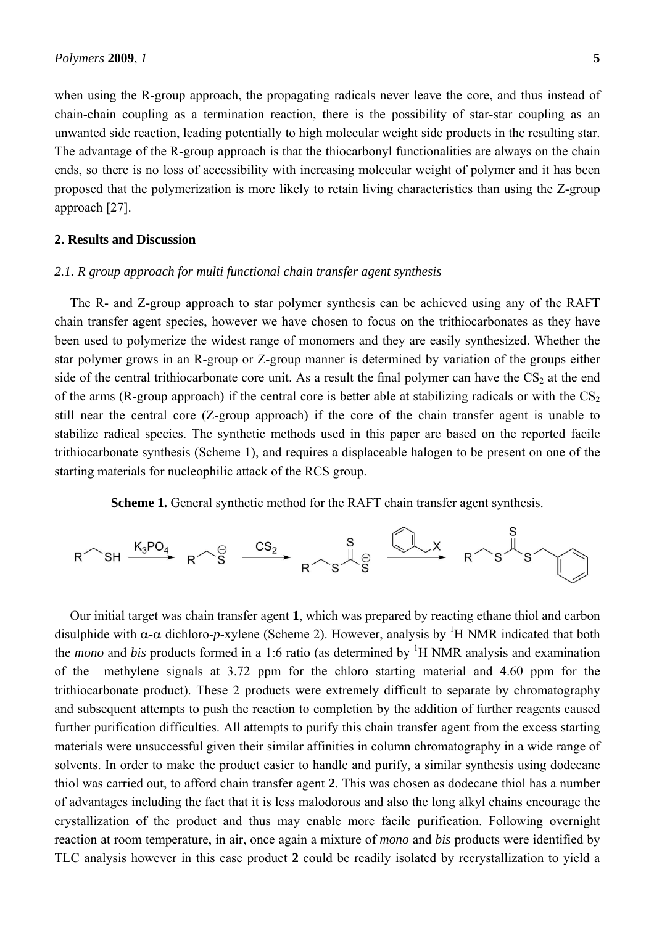when using the R-group approach, the propagating radicals never leave the core, and thus instead of chain-chain coupling as a termination reaction, there is the possibility of star-star coupling as an unwanted side reaction, leading potentially to high molecular weight side products in the resulting star. The advantage of the R-group approach is that the thiocarbonyl functionalities are always on the chain ends, so there is no loss of accessibility with increasing molecular weight of polymer and it has been proposed that the polymerization is more likely to retain living characteristics than using the Z-group approach [27].

#### **2. Results and Discussion**

#### *2.1. R group approach for multi functional chain transfer agent synthesis*

The R- and Z-group approach to star polymer synthesis can be achieved using any of the RAFT chain transfer agent species, however we have chosen to focus on the trithiocarbonates as they have been used to polymerize the widest range of monomers and they are easily synthesized. Whether the star polymer grows in an R-group or Z-group manner is determined by variation of the groups either side of the central trithiocarbonate core unit. As a result the final polymer can have the  $CS_2$  at the end of the arms (R-group approach) if the central core is better able at stabilizing radicals or with the  $CS_2$ still near the central core (Z-group approach) if the core of the chain transfer agent is unable to stabilize radical species. The synthetic methods used in this paper are based on the reported facile trithiocarbonate synthesis (Scheme 1), and requires a displaceable halogen to be present on one of the starting materials for nucleophilic attack of the RCS group.

**Scheme 1.** General synthetic method for the RAFT chain transfer agent synthesis.



Our initial target was chain transfer agent **1**, which was prepared by reacting ethane thiol and carbon disulphide with  $\alpha$ - $\alpha$  dichloro-*p*-xylene (Scheme 2). However, analysis by <sup>1</sup>H NMR indicated that both the *mono* and *bis* products formed in a 1:6 ratio (as determined by <sup>1</sup>H NMR analysis and examination of the methylene signals at 3.72 ppm for the chloro starting material and 4.60 ppm for the trithiocarbonate product). These 2 products were extremely difficult to separate by chromatography and subsequent attempts to push the reaction to completion by the addition of further reagents caused further purification difficulties. All attempts to purify this chain transfer agent from the excess starting materials were unsuccessful given their similar affinities in column chromatography in a wide range of solvents. In order to make the product easier to handle and purify, a similar synthesis using dodecane thiol was carried out, to afford chain transfer agent **2**. This was chosen as dodecane thiol has a number of advantages including the fact that it is less malodorous and also the long alkyl chains encourage the crystallization of the product and thus may enable more facile purification. Following overnight reaction at room temperature, in air, once again a mixture of *mono* and *bis* products were identified by TLC analysis however in this case product **2** could be readily isolated by recrystallization to yield a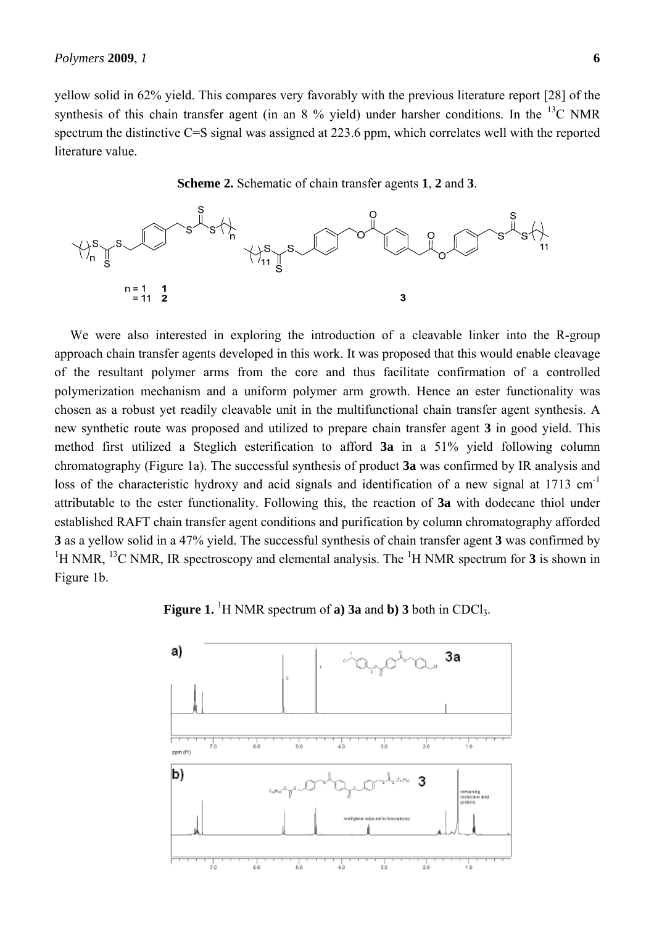yellow solid in 62% yield. This compares very favorably with the previous literature report [28] of the synthesis of this chain transfer agent (in an  $8\%$  yield) under harsher conditions. In the <sup>13</sup>C NMR spectrum the distinctive C=S signal was assigned at 223.6 ppm, which correlates well with the reported literature value.





We were also interested in exploring the introduction of a cleavable linker into the R-group approach chain transfer agents developed in this work. It was proposed that this would enable cleavage of the resultant polymer arms from the core and thus facilitate confirmation of a controlled polymerization mechanism and a uniform polymer arm growth. Hence an ester functionality was chosen as a robust yet readily cleavable unit in the multifunctional chain transfer agent synthesis. A new synthetic route was proposed and utilized to prepare chain transfer agent **3** in good yield. This method first utilized a Steglich esterification to afford **3a** in a 51% yield following column chromatography (Figure 1a). The successful synthesis of product **3a** was confirmed by IR analysis and loss of the characteristic hydroxy and acid signals and identification of a new signal at 1713 cm<sup>-1</sup> attributable to the ester functionality. Following this, the reaction of **3a** with dodecane thiol under established RAFT chain transfer agent conditions and purification by column chromatography afforded **3** as a yellow solid in a 47% yield. The successful synthesis of chain transfer agent **3** was confirmed by <sup>1</sup>H NMR, <sup>13</sup>C NMR, IR spectroscopy and elemental analysis. The <sup>1</sup>H NMR spectrum for **3** is shown in Figure 1b.



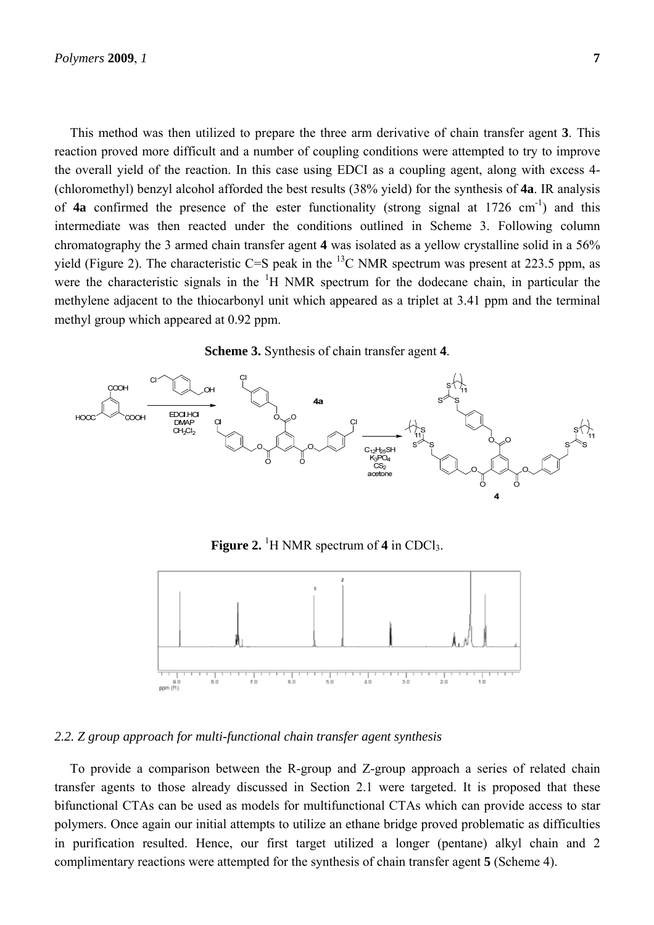This method was then utilized to prepare the three arm derivative of chain transfer agent **3**. This reaction proved more difficult and a number of coupling conditions were attempted to try to improve the overall yield of the reaction. In this case using EDCI as a coupling agent, along with excess 4- (chloromethyl) benzyl alcohol afforded the best results (38% yield) for the synthesis of **4a**. IR analysis of **4a** confirmed the presence of the ester functionality (strong signal at 1726 cm<sup>-1</sup>) and this intermediate was then reacted under the conditions outlined in Scheme 3. Following column chromatography the 3 armed chain transfer agent **4** was isolated as a yellow crystalline solid in a 56% yield (Figure 2). The characteristic C=S peak in the  $^{13}$ C NMR spectrum was present at 223.5 ppm, as were the characteristic signals in the  ${}^{1}H$  NMR spectrum for the dodecane chain, in particular the methylene adjacent to the thiocarbonyl unit which appeared as a triplet at 3.41 ppm and the terminal methyl group which appeared at 0.92 ppm.





**Figure 2.** <sup>1</sup>H NMR spectrum of 4 in CDCl<sub>3</sub>.



#### *2.2. Z group approach for multi-functional chain transfer agent synthesis*

To provide a comparison between the R-group and Z-group approach a series of related chain transfer agents to those already discussed in Section 2.1 were targeted. It is proposed that these bifunctional CTAs can be used as models for multifunctional CTAs which can provide access to star polymers. Once again our initial attempts to utilize an ethane bridge proved problematic as difficulties in purification resulted. Hence, our first target utilized a longer (pentane) alkyl chain and 2 complimentary reactions were attempted for the synthesis of chain transfer agent **5** (Scheme 4).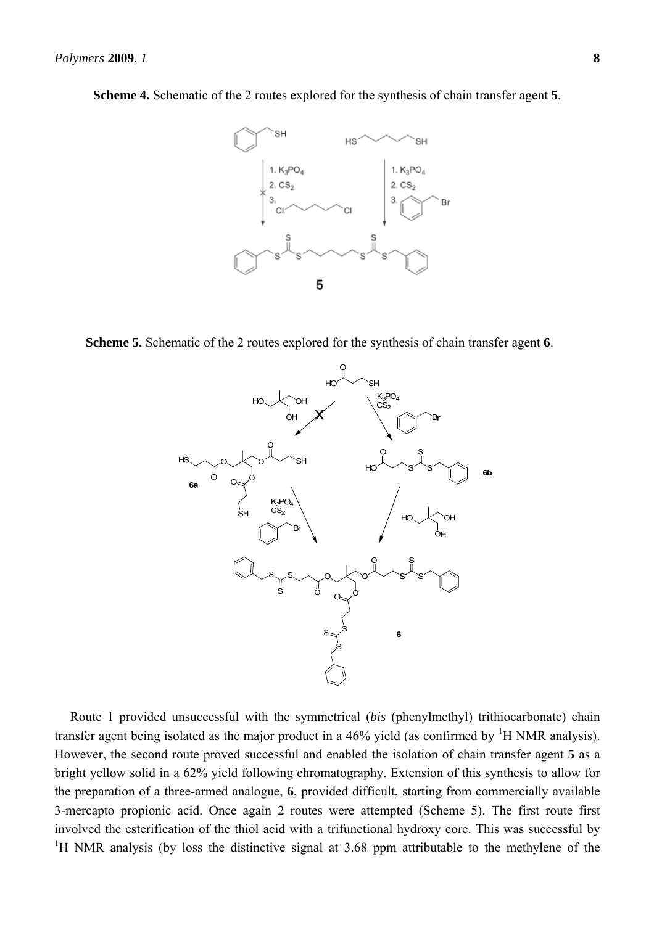

**Scheme 4.** Schematic of the 2 routes explored for the synthesis of chain transfer agent **5**.

**Scheme 5.** Schematic of the 2 routes explored for the synthesis of chain transfer agent **6**.



Route 1 provided unsuccessful with the symmetrical (*bis* (phenylmethyl) trithiocarbonate) chain transfer agent being isolated as the major product in a  $46\%$  yield (as confirmed by  ${}^{1}H$  NMR analysis). However, the second route proved successful and enabled the isolation of chain transfer agent **5** as a bright yellow solid in a 62% yield following chromatography. Extension of this synthesis to allow for the preparation of a three-armed analogue, **6**, provided difficult, starting from commercially available 3-mercapto propionic acid. Once again 2 routes were attempted (Scheme 5). The first route first involved the esterification of the thiol acid with a trifunctional hydroxy core. This was successful by <sup>1</sup>H NMR analysis (by loss the distinctive signal at 3.68 ppm attributable to the methylene of the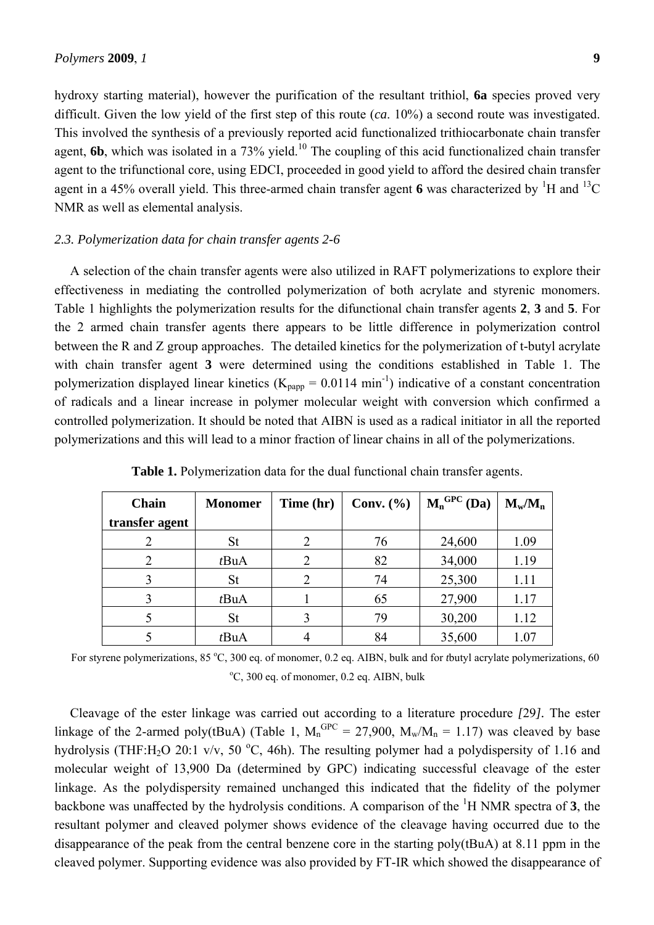hydroxy starting material), however the purification of the resultant trithiol, **6a** species proved very difficult. Given the low yield of the first step of this route (*ca*. 10%) a second route was investigated. This involved the synthesis of a previously reported acid functionalized trithiocarbonate chain transfer agent,  $6b$ , which was isolated in a 73% yield.<sup>10</sup> The coupling of this acid functionalized chain transfer agent to the trifunctional core, using EDCI, proceeded in good yield to afford the desired chain transfer agent in a 45% overall yield. This three-armed chain transfer agent 6 was characterized by <sup>1</sup>H and <sup>13</sup>C NMR as well as elemental analysis.

#### *2.3. Polymerization data for chain transfer agents 2-6*

A selection of the chain transfer agents were also utilized in RAFT polymerizations to explore their effectiveness in mediating the controlled polymerization of both acrylate and styrenic monomers. Table 1 highlights the polymerization results for the difunctional chain transfer agents **2**, **3** and **5**. For the 2 armed chain transfer agents there appears to be little difference in polymerization control between the R and Z group approaches. The detailed kinetics for the polymerization of t-butyl acrylate with chain transfer agent **3** were determined using the conditions established in Table 1. The polymerization displayed linear kinetics ( $K_{papp} = 0.0114 \text{ min}^{-1}$ ) indicative of a constant concentration of radicals and a linear increase in polymer molecular weight with conversion which confirmed a controlled polymerization. It should be noted that AIBN is used as a radical initiator in all the reported polymerizations and this will lead to a minor fraction of linear chains in all of the polymerizations.

| Chain          | <b>Monomer</b> | Time (hr) | Conv. $(\% )$ | $M_n^{\text{GPC}}$<br>(Da) | $M_w/M_n$ |
|----------------|----------------|-----------|---------------|----------------------------|-----------|
| transfer agent |                |           |               |                            |           |
|                | St             |           | 76            | 24,600                     | 1.09      |
|                | tBuA           |           | 82            | 34,000                     | 1.19      |
| 3              | <b>St</b>      | 2         | 74            | 25,300                     | 1.11      |
|                | tBuA           |           | 65            | 27,900                     | 1.17      |
|                | <b>St</b>      |           | 79            | 30,200                     | 1.12      |
|                | tBuA           |           | 84            | 35,600                     | 1.07      |

**Table 1.** Polymerization data for the dual functional chain transfer agents.

For styrene polymerizations, 85 °C, 300 eq. of monomer, 0.2 eq. AIBN, bulk and for *t*butyl acrylate polymerizations, 60 <sup>o</sup>C, 300 eq. of monomer, 0.2 eq. AIBN, bulk

Cleavage of the ester linkage was carried out according to a literature procedure *[*29*].* The ester linkage of the 2-armed poly(tBuA) (Table 1,  $M_n^{GPC} = 27,900$ ,  $M_w/M_n = 1.17$ ) was cleaved by base hydrolysis (THF:H<sub>2</sub>O 20:1 v/v, 50 °C, 46h). The resulting polymer had a polydispersity of 1.16 and molecular weight of 13,900 Da (determined by GPC) indicating successful cleavage of the ester linkage. As the polydispersity remained unchanged this indicated that the fidelity of the polymer backbone was unaffected by the hydrolysis conditions. A comparison of the <sup>1</sup> H NMR spectra of **3**, the resultant polymer and cleaved polymer shows evidence of the cleavage having occurred due to the disappearance of the peak from the central benzene core in the starting poly(tBuA) at 8.11 ppm in the cleaved polymer. Supporting evidence was also provided by FT-IR which showed the disappearance of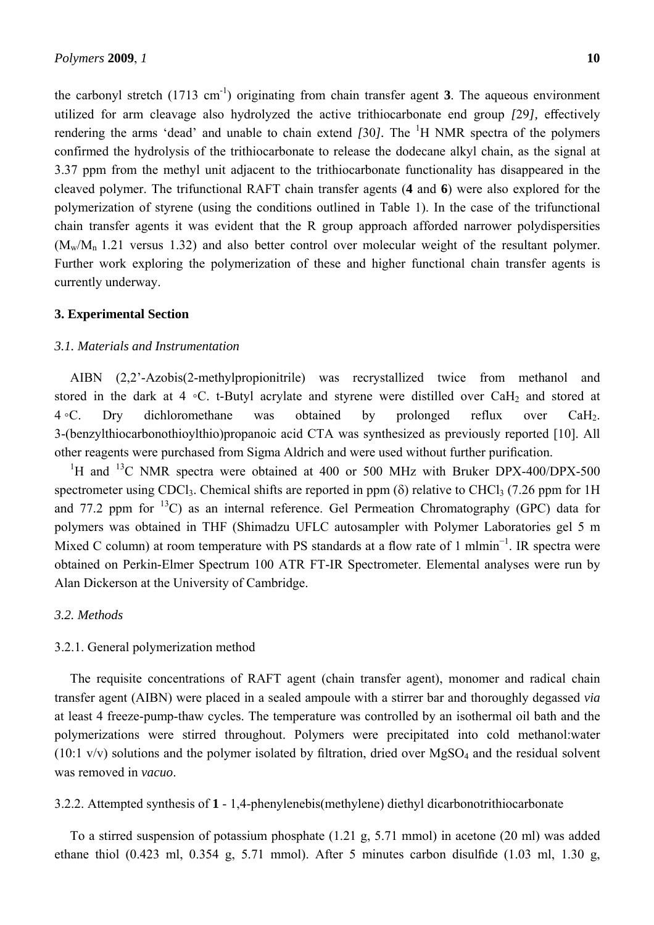the carbonyl stretch  $(1713 \text{ cm}^{-1})$  originating from chain transfer agent **3**. The aqueous environment utilized for arm cleavage also hydrolyzed the active trithiocarbonate end group *[*29*],* effectively rendering the arms 'dead' and unable to chain extend [30]. The <sup>1</sup>H NMR spectra of the polymers confirmed the hydrolysis of the trithiocarbonate to release the dodecane alkyl chain, as the signal at 3.37 ppm from the methyl unit adjacent to the trithiocarbonate functionality has disappeared in the cleaved polymer. The trifunctional RAFT chain transfer agents (**4** and **6**) were also explored for the polymerization of styrene (using the conditions outlined in Table 1). In the case of the trifunctional chain transfer agents it was evident that the R group approach afforded narrower polydispersities  $(M_w/M_n 1.21$  versus 1.32) and also better control over molecular weight of the resultant polymer.

Further work exploring the polymerization of these and higher functional chain transfer agents is

**3. Experimental Section** 

currently underway.

## *3.1. Materials and Instrumentation*

AIBN (2,2'-Azobis(2-methylpropionitrile) was recrystallized twice from methanol and stored in the dark at 4 ◦C. t-Butyl acrylate and styrene were distilled over CaH<sub>2</sub> and stored at 4 ◦C. Dry dichloromethane was obtained by prolonged reflux over CaH2. 3-(benzylthiocarbonothioylthio)propanoic acid CTA was synthesized as previously reported [10]. All other reagents were purchased from Sigma Aldrich and were used without further purification.

<sup>1</sup>H and <sup>13</sup>C NMR spectra were obtained at 400 or 500 MHz with Bruker DPX-400/DPX-500 spectrometer using CDCl<sub>3</sub>. Chemical shifts are reported in ppm ( $\delta$ ) relative to CHCl<sub>3</sub> (7.26 ppm for 1H and 77.2 ppm for  ${}^{13}$ C) as an internal reference. Gel Permeation Chromatography (GPC) data for polymers was obtained in THF (Shimadzu UFLC autosampler with Polymer Laboratories gel 5 m Mixed C column) at room temperature with PS standards at a flow rate of 1 mlmin<sup>-1</sup>. IR spectra were obtained on Perkin-Elmer Spectrum 100 ATR FT-IR Spectrometer. Elemental analyses were run by Alan Dickerson at the University of Cambridge.

#### *3.2. Methods*

#### 3.2.1. General polymerization method

The requisite concentrations of RAFT agent (chain transfer agent), monomer and radical chain transfer agent (AIBN) were placed in a sealed ampoule with a stirrer bar and thoroughly degassed *via* at least 4 freeze-pump-thaw cycles. The temperature was controlled by an isothermal oil bath and the polymerizations were stirred throughout. Polymers were precipitated into cold methanol:water (10:1  $v/v$ ) solutions and the polymer isolated by filtration, dried over MgSO<sub>4</sub> and the residual solvent was removed in *vacuo*.

#### 3.2.2. Attempted synthesis of **1** - 1,4-phenylenebis(methylene) diethyl dicarbonotrithiocarbonate

To a stirred suspension of potassium phosphate (1.21 g, 5.71 mmol) in acetone (20 ml) was added ethane thiol (0.423 ml, 0.354 g, 5.71 mmol). After 5 minutes carbon disulfide (1.03 ml, 1.30 g,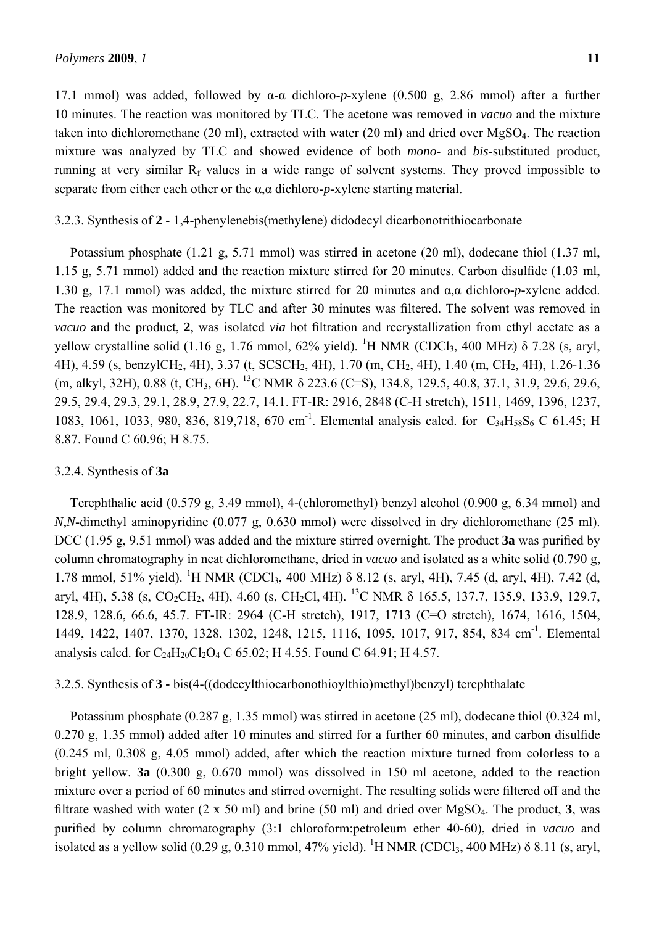17.1 mmol) was added, followed by α-α dichloro-*p*-xylene (0.500 g, 2.86 mmol) after a further 10 minutes. The reaction was monitored by TLC. The acetone was removed in *vacuo* and the mixture taken into dichloromethane (20 ml), extracted with water (20 ml) and dried over MgSO4. The reaction mixture was analyzed by TLC and showed evidence of both *mono*- and *bis*-substituted product, running at very similar  $R_f$  values in a wide range of solvent systems. They proved impossible to separate from either each other or the α,α dichloro-*p*-xylene starting material.

#### 3.2.3. Synthesis of **2** - 1,4-phenylenebis(methylene) didodecyl dicarbonotrithiocarbonate

Potassium phosphate (1.21 g, 5.71 mmol) was stirred in acetone (20 ml), dodecane thiol (1.37 ml, 1.15 g, 5.71 mmol) added and the reaction mixture stirred for 20 minutes. Carbon disulfide (1.03 ml, 1.30 g, 17.1 mmol) was added, the mixture stirred for 20 minutes and α,α dichloro-*p*-xylene added. The reaction was monitored by TLC and after 30 minutes was filtered. The solvent was removed in *vacuo* and the product, **2**, was isolated *via* hot filtration and recrystallization from ethyl acetate as a yellow crystalline solid (1.16 g, 1.76 mmol, 62% yield). <sup>1</sup>H NMR (CDCl<sub>3</sub>, 400 MHz)  $\delta$  7.28 (s, aryl, 4H), 4.59 (s, benzylCH2, 4H), 3.37 (t, SCSCH2, 4H), 1.70 (m, CH2, 4H), 1.40 (m, CH2, 4H), 1.26-1.36 (m, alkyl, 32H), 0.88 (t, CH3, 6H). 13C NMR δ 223.6 (C=S), 134.8, 129.5, 40.8, 37.1, 31.9, 29.6, 29.6, 29.5, 29.4, 29.3, 29.1, 28.9, 27.9, 22.7, 14.1. FT-IR: 2916, 2848 (C-H stretch), 1511, 1469, 1396, 1237, 1083, 1061, 1033, 980, 836, 819,718, 670 cm<sup>-1</sup>. Elemental analysis calcd. for C<sub>34</sub>H<sub>58</sub>S<sub>6</sub> C 61.45; H 8.87. Found C 60.96; H 8.75.

#### 3.2.4. Synthesis of **3a**

Terephthalic acid (0.579 g, 3.49 mmol), 4-(chloromethyl) benzyl alcohol (0.900 g, 6.34 mmol) and *N*,*N*-dimethyl aminopyridine (0.077 g, 0.630 mmol) were dissolved in dry dichloromethane (25 ml). DCC (1.95 g, 9.51 mmol) was added and the mixture stirred overnight. The product **3a** was purified by column chromatography in neat dichloromethane, dried in *vacuo* and isolated as a white solid (0.790 g, 1.78 mmol, 51% yield). <sup>1</sup>H NMR (CDCl<sub>3</sub>, 400 MHz) δ 8.12 (s, aryl, 4H), 7.45 (d, aryl, 4H), 7.42 (d, aryl, 4H), 5.38 (s, CO<sub>2</sub>CH<sub>2</sub>, 4H), 4.60 (s, CH<sub>2</sub>Cl, 4H). <sup>13</sup>C NMR  $\delta$  165.5, 137.7, 135.9, 133.9, 129.7, 128.9, 128.6, 66.6, 45.7. FT-IR: 2964 (C-H stretch), 1917, 1713 (C=O stretch), 1674, 1616, 1504, 1449, 1422, 1407, 1370, 1328, 1302, 1248, 1215, 1116, 1095, 1017, 917, 854, 834 cm-1. Elemental analysis calcd. for  $C_{24}H_{20}Cl_2O_4 C$  65.02; H 4.55. Found C 64.91; H 4.57.

#### 3.2.5. Synthesis of **3 -** bis(4-((dodecylthiocarbonothioylthio)methyl)benzyl) terephthalate

Potassium phosphate (0.287 g, 1.35 mmol) was stirred in acetone (25 ml), dodecane thiol (0.324 ml, 0.270 g, 1.35 mmol) added after 10 minutes and stirred for a further 60 minutes, and carbon disulfide (0.245 ml, 0.308 g, 4.05 mmol) added, after which the reaction mixture turned from colorless to a bright yellow. **3a** (0.300 g, 0.670 mmol) was dissolved in 150 ml acetone, added to the reaction mixture over a period of 60 minutes and stirred overnight. The resulting solids were filtered off and the filtrate washed with water (2 x 50 ml) and brine (50 ml) and dried over MgSO4. The product, **3**, was purified by column chromatography (3:1 chloroform:petroleum ether 40-60), dried in *vacuo* and isolated as a yellow solid (0.29 g, 0.310 mmol, 47% yield). <sup>1</sup>H NMR (CDCl<sub>3</sub>, 400 MHz)  $\delta$  8.11 (s, aryl,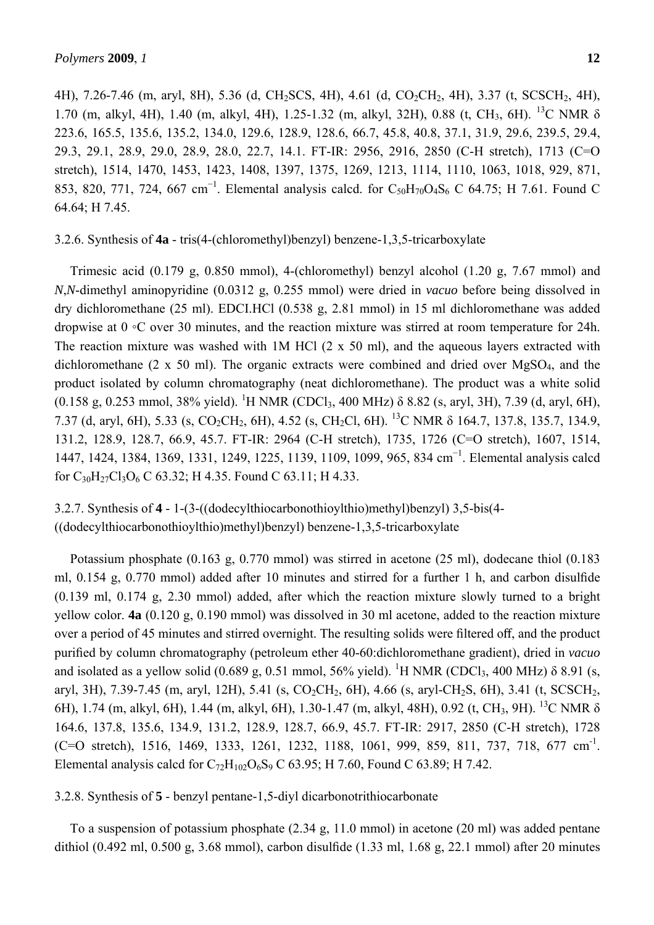4H), 7.26-7.46 (m, aryl, 8H), 5.36 (d, CH<sub>2</sub>SCS, 4H), 4.61 (d, CO<sub>2</sub>CH<sub>2</sub>, 4H), 3.37 (t, SCSCH<sub>2</sub>, 4H), 1.70 (m, alkyl, 4H), 1.40 (m, alkyl, 4H), 1.25-1.32 (m, alkyl, 32H), 0.88 (t, CH<sub>3</sub>, 6H). <sup>13</sup>C NMR δ 223.6, 165.5, 135.6, 135.2, 134.0, 129.6, 128.9, 128.6, 66.7, 45.8, 40.8, 37.1, 31.9, 29.6, 239.5, 29.4, 29.3, 29.1, 28.9, 29.0, 28.9, 28.0, 22.7, 14.1. FT-IR: 2956, 2916, 2850 (C-H stretch), 1713 (C=O stretch), 1514, 1470, 1453, 1423, 1408, 1397, 1375, 1269, 1213, 1114, 1110, 1063, 1018, 929, 871, 853, 820, 771, 724, 667 cm<sup>-1</sup>. Elemental analysis calcd. for C<sub>50</sub>H<sub>70</sub>O<sub>4</sub>S<sub>6</sub> C 64.75; H 7.61. Found C 64.64; H 7.45.

#### 3.2.6. Synthesis of **4a** - tris(4-(chloromethyl)benzyl) benzene-1,3,5-tricarboxylate

Trimesic acid (0.179 g, 0.850 mmol), 4-(chloromethyl) benzyl alcohol (1.20 g, 7.67 mmol) and *N*,*N*-dimethyl aminopyridine (0.0312 g, 0.255 mmol) were dried in *vacuo* before being dissolved in dry dichloromethane (25 ml). EDCI.HCl (0.538 g, 2.81 mmol) in 15 ml dichloromethane was added dropwise at 0 ◦C over 30 minutes, and the reaction mixture was stirred at room temperature for 24h. The reaction mixture was washed with 1M HCl (2 x 50 ml), and the aqueous layers extracted with dichloromethane (2 x 50 ml). The organic extracts were combined and dried over  $MgSO<sub>4</sub>$ , and the product isolated by column chromatography (neat dichloromethane). The product was a white solid (0.158 g, 0.253 mmol, 38% yield). <sup>1</sup>H NMR (CDCl<sub>3</sub>, 400 MHz) δ 8.82 (s, aryl, 3H), 7.39 (d, aryl, 6H), 7.37 (d, aryl, 6H), 5.33 (s, CO2CH2, 6H), 4.52 (s, CH2Cl, 6H). 13C NMR δ 164.7, 137.8, 135.7, 134.9, 131.2, 128.9, 128.7, 66.9, 45.7. FT-IR: 2964 (C-H stretch), 1735, 1726 (C=O stretch), 1607, 1514, 1447, 1424, 1384, 1369, 1331, 1249, 1225, 1139, 1109, 1099, 965, 834 cm<sup>-1</sup>. Elemental analysis calcd for  $C_{30}H_{27}Cl_3O_6$  C 63.32; H 4.35. Found C 63.11; H 4.33.

3.2.7. Synthesis of **4** - 1-(3-((dodecylthiocarbonothioylthio)methyl)benzyl) 3,5-bis(4- ((dodecylthiocarbonothioylthio)methyl)benzyl) benzene-1,3,5-tricarboxylate

Potassium phosphate (0.163 g, 0.770 mmol) was stirred in acetone (25 ml), dodecane thiol (0.183 ml, 0.154 g, 0.770 mmol) added after 10 minutes and stirred for a further 1 h, and carbon disulfide (0.139 ml, 0.174 g, 2.30 mmol) added, after which the reaction mixture slowly turned to a bright yellow color. **4a** (0.120 g, 0.190 mmol) was dissolved in 30 ml acetone, added to the reaction mixture over a period of 45 minutes and stirred overnight. The resulting solids were filtered off, and the product purified by column chromatography (petroleum ether 40-60:dichloromethane gradient), dried in *vacuo* and isolated as a yellow solid (0.689 g, 0.51 mmol, 56% yield). <sup>1</sup>H NMR (CDCl<sub>3</sub>, 400 MHz)  $\delta$  8.91 (s, aryl, 3H), 7.39-7.45 (m, aryl, 12H), 5.41 (s,  $CO_2CH_2$ , 6H), 4.66 (s, aryl-CH<sub>2</sub>S, 6H), 3.41 (t, SCSCH<sub>2</sub>, 6H), 1.74 (m, alkyl, 6H), 1.44 (m, alkyl, 6H), 1.30-1.47 (m, alkyl, 48H), 0.92 (t, CH<sub>3</sub>, 9H). <sup>13</sup>C NMR  $\delta$ 164.6, 137.8, 135.6, 134.9, 131.2, 128.9, 128.7, 66.9, 45.7. FT-IR: 2917, 2850 (C-H stretch), 1728 (C=O stretch), 1516, 1469, 1333, 1261, 1232, 1188, 1061, 999, 859, 811, 737, 718, 677 cm<sup>-1</sup>. Elemental analysis calcd for  $C_7$ <sub>2</sub>H<sub>102</sub>O<sub>6</sub>S<sub>9</sub> C 63.95; H 7.60, Found C 63.89; H 7.42.

3.2.8. Synthesis of **5** - benzyl pentane-1,5-diyl dicarbonotrithiocarbonate

To a suspension of potassium phosphate (2.34 g, 11.0 mmol) in acetone (20 ml) was added pentane dithiol (0.492 ml, 0.500 g, 3.68 mmol), carbon disulfide (1.33 ml, 1.68 g, 22.1 mmol) after 20 minutes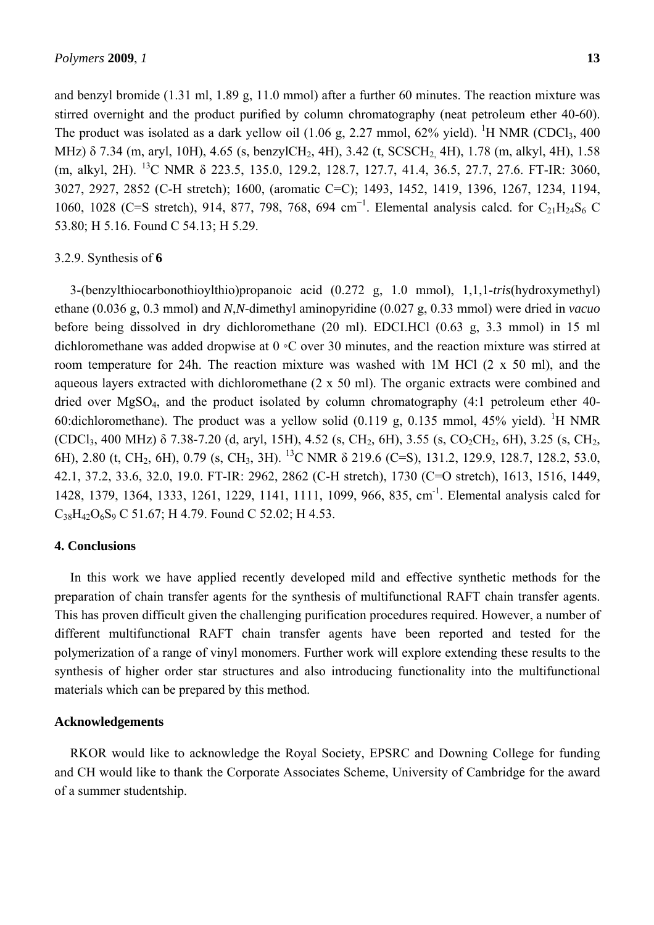and benzyl bromide (1.31 ml, 1.89 g, 11.0 mmol) after a further 60 minutes. The reaction mixture was stirred overnight and the product purified by column chromatography (neat petroleum ether 40-60). The product was isolated as a dark yellow oil  $(1.06 \text{ g}, 2.27 \text{ mmol}, 62\% \text{ yield})$ . <sup>1</sup>H NMR (CDCl<sub>3</sub>, 400) MHz) δ 7.34 (m, aryl, 10H), 4.65 (s, benzylCH<sub>2</sub>, 4H), 3.42 (t, SCSCH<sub>2</sub>, 4H), 1.78 (m, alkyl, 4H), 1.58 (m, alkyl, 2H). 13C NMR δ 223.5, 135.0, 129.2, 128.7, 127.7, 41.4, 36.5, 27.7, 27.6. FT-IR: 3060, 3027, 2927, 2852 (C-H stretch); 1600, (aromatic C=C); 1493, 1452, 1419, 1396, 1267, 1234, 1194, 1060, 1028 (C=S stretch), 914, 877, 798, 768, 694 cm<sup>-1</sup>. Elemental analysis calcd. for C<sub>21</sub>H<sub>24</sub>S<sub>6</sub> C 53.80; H 5.16. Found C 54.13; H 5.29.

#### 3.2.9. Synthesis of **6**

3-(benzylthiocarbonothioylthio)propanoic acid (0.272 g, 1.0 mmol), 1,1,1-*tris*(hydroxymethyl) ethane (0.036 g, 0.3 mmol) and *N*,*N*-dimethyl aminopyridine (0.027 g, 0.33 mmol) were dried in *vacuo* before being dissolved in dry dichloromethane (20 ml). EDCI.HCl (0.63 g, 3.3 mmol) in 15 ml dichloromethane was added dropwise at 0 ◦C over 30 minutes, and the reaction mixture was stirred at room temperature for 24h. The reaction mixture was washed with 1M HCl (2 x 50 ml), and the aqueous layers extracted with dichloromethane (2 x 50 ml). The organic extracts were combined and dried over MgSO4, and the product isolated by column chromatography (4:1 petroleum ether 40- 60:dichloromethane). The product was a yellow solid  $(0.119 \text{ g}, 0.135 \text{ mmol}, 45\% \text{ yield})$ . <sup>1</sup>H NMR  $(CDCl_3, 400 MHz)$  δ 7.38-7.20 (d, aryl, 15H), 4.52 (s, CH<sub>2</sub>, 6H), 3.55 (s, CO<sub>2</sub>CH<sub>2</sub>, 6H), 3.25 (s, CH<sub>2</sub>, 6H), 2.80 (t, CH2, 6H), 0.79 (s, CH3, 3H). 13C NMR δ 219.6 (C=S), 131.2, 129.9, 128.7, 128.2, 53.0, 42.1, 37.2, 33.6, 32.0, 19.0. FT-IR: 2962, 2862 (C-H stretch), 1730 (C=O stretch), 1613, 1516, 1449, 1428, 1379, 1364, 1333, 1261, 1229, 1141, 1111, 1099, 966, 835, cm-1. Elemental analysis calcd for  $C_{38}H_{42}O_6S_9$  C 51.67; H 4.79. Found C 52.02; H 4.53.

#### **4. Conclusions**

In this work we have applied recently developed mild and effective synthetic methods for the preparation of chain transfer agents for the synthesis of multifunctional RAFT chain transfer agents. This has proven difficult given the challenging purification procedures required. However, a number of different multifunctional RAFT chain transfer agents have been reported and tested for the polymerization of a range of vinyl monomers. Further work will explore extending these results to the synthesis of higher order star structures and also introducing functionality into the multifunctional materials which can be prepared by this method.

#### **Acknowledgements**

RKOR would like to acknowledge the Royal Society, EPSRC and Downing College for funding and CH would like to thank the Corporate Associates Scheme, University of Cambridge for the award of a summer studentship.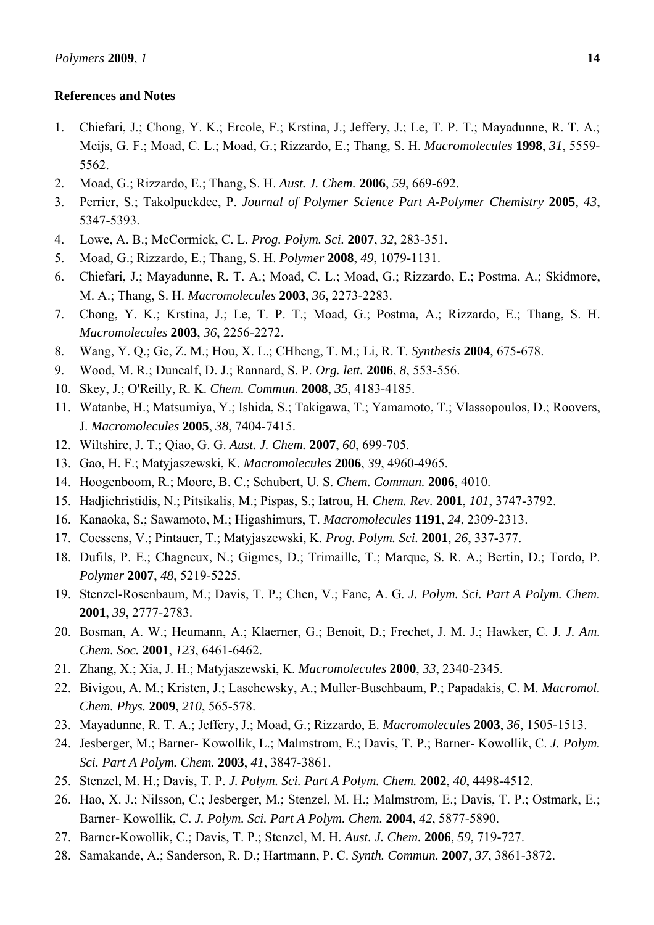#### **References and Notes**

- 1. Chiefari, J.; Chong, Y. K.; Ercole, F.; Krstina, J.; Jeffery, J.; Le, T. P. T.; Mayadunne, R. T. A.; Meijs, G. F.; Moad, C. L.; Moad, G.; Rizzardo, E.; Thang, S. H. *Macromolecules* **1998**, *31*, 5559- 5562.
- 2. Moad, G.; Rizzardo, E.; Thang, S. H. *Aust. J. Chem.* **2006**, *59*, 669-692.
- 3. Perrier, S.; Takolpuckdee, P. *Journal of Polymer Science Part A-Polymer Chemistry* **2005**, *43*, 5347-5393.
- 4. Lowe, A. B.; McCormick, C. L. *Prog. Polym. Sci.* **2007**, *32*, 283-351.
- 5. Moad, G.; Rizzardo, E.; Thang, S. H. *Polymer* **2008**, *49*, 1079-1131.
- 6. Chiefari, J.; Mayadunne, R. T. A.; Moad, C. L.; Moad, G.; Rizzardo, E.; Postma, A.; Skidmore, M. A.; Thang, S. H. *Macromolecules* **2003**, *36*, 2273-2283.
- 7. Chong, Y. K.; Krstina, J.; Le, T. P. T.; Moad, G.; Postma, A.; Rizzardo, E.; Thang, S. H. *Macromolecules* **2003**, *36*, 2256-2272.
- 8. Wang, Y. Q.; Ge, Z. M.; Hou, X. L.; CHheng, T. M.; Li, R. T. *Synthesis* **2004**, 675-678.
- 9. Wood, M. R.; Duncalf, D. J.; Rannard, S. P. *Org. lett.* **2006**, *8*, 553-556.
- 10. Skey, J.; O'Reilly, R. K. *Chem. Commun.* **2008**, *35*, 4183-4185.
- 11. Watanbe, H.; Matsumiya, Y.; Ishida, S.; Takigawa, T.; Yamamoto, T.; Vlassopoulos, D.; Roovers, J. *Macromolecules* **2005**, *38*, 7404-7415.
- 12. Wiltshire, J. T.; Qiao, G. G. *Aust. J. Chem.* **2007**, *60*, 699-705.
- 13. Gao, H. F.; Matyjaszewski, K. *Macromolecules* **2006**, *39*, 4960-4965.
- 14. Hoogenboom, R.; Moore, B. C.; Schubert, U. S. *Chem. Commun.* **2006**, 4010.
- 15. Hadjichristidis, N.; Pitsikalis, M.; Pispas, S.; Iatrou, H. *Chem. Rev.* **2001**, *101*, 3747-3792.
- 16. Kanaoka, S.; Sawamoto, M.; Higashimurs, T. *Macromolecules* **1191**, *24*, 2309-2313.
- 17. Coessens, V.; Pintauer, T.; Matyjaszewski, K. *Prog. Polym. Sci.* **2001**, *26*, 337-377.
- 18. Dufils, P. E.; Chagneux, N.; Gigmes, D.; Trimaille, T.; Marque, S. R. A.; Bertin, D.; Tordo, P. *Polymer* **2007**, *48*, 5219-5225.
- 19. Stenzel-Rosenbaum, M.; Davis, T. P.; Chen, V.; Fane, A. G. *J. Polym. Sci. Part A Polym. Chem.* **2001**, *39*, 2777-2783.
- 20. Bosman, A. W.; Heumann, A.; Klaerner, G.; Benoit, D.; Frechet, J. M. J.; Hawker, C. J. *J. Am. Chem. Soc.* **2001**, *123*, 6461-6462.
- 21. Zhang, X.; Xia, J. H.; Matyjaszewski, K. *Macromolecules* **2000**, *33*, 2340-2345.
- 22. Bivigou, A. M.; Kristen, J.; Laschewsky, A.; Muller-Buschbaum, P.; Papadakis, C. M. *Macromol. Chem. Phys.* **2009**, *210*, 565-578.
- 23. Mayadunne, R. T. A.; Jeffery, J.; Moad, G.; Rizzardo, E. *Macromolecules* **2003**, *36*, 1505-1513.
- 24. Jesberger, M.; Barner- Kowollik, L.; Malmstrom, E.; Davis, T. P.; Barner- Kowollik, C. *J. Polym. Sci. Part A Polym. Chem.* **2003**, *41*, 3847-3861.
- 25. Stenzel, M. H.; Davis, T. P. *J. Polym. Sci. Part A Polym. Chem.* **2002**, *40*, 4498-4512.
- 26. Hao, X. J.; Nilsson, C.; Jesberger, M.; Stenzel, M. H.; Malmstrom, E.; Davis, T. P.; Ostmark, E.; Barner- Kowollik, C. *J. Polym. Sci. Part A Polym. Chem.* **2004**, *42*, 5877-5890.
- 27. Barner-Kowollik, C.; Davis, T. P.; Stenzel, M. H. *Aust. J. Chem.* **2006**, *59*, 719-727.
- 28. Samakande, A.; Sanderson, R. D.; Hartmann, P. C. *Synth. Commun.* **2007**, *37*, 3861-3872.